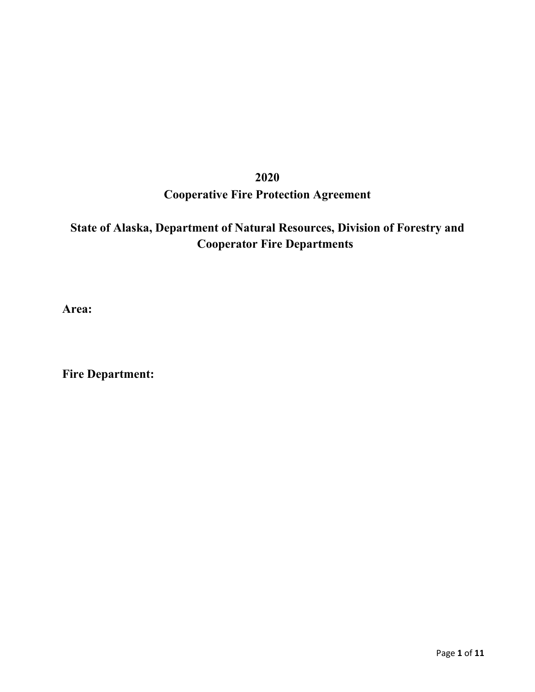# **2020 Cooperative Fire Protection Agreement**

# **State of Alaska, Department of Natural Resources, Division of Forestry and Cooperator Fire Departments**

**Area:**

**Fire Department:**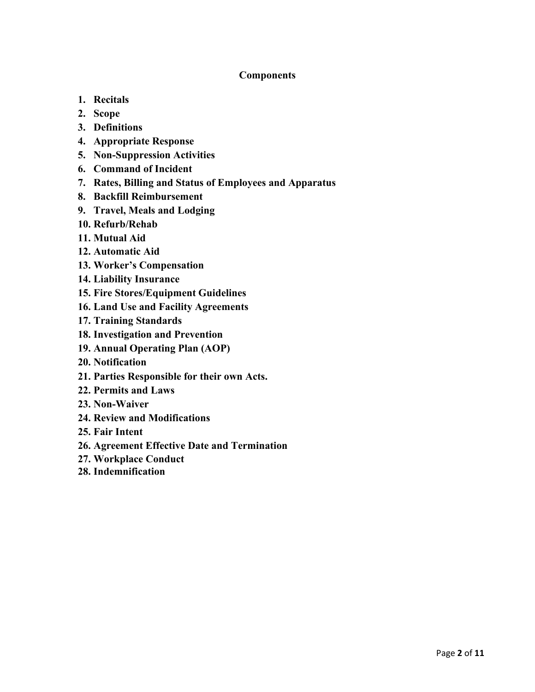# **Components**

- **1. Recitals**
- **2. Scope**
- **3. Definitions**
- **4. Appropriate Response**
- **5. Non-Suppression Activities**
- **6. Command of Incident**
- **7. Rates, Billing and Status of Employees and Apparatus**
- **8. Backfill Reimbursement**
- **9. Travel, Meals and Lodging**
- **10. Refurb/Rehab**
- **11. Mutual Aid**
- **12. Automatic Aid**
- **13. Worker's Compensation**
- **14. Liability Insurance**
- **15. Fire Stores/Equipment Guidelines**
- **16. Land Use and Facility Agreements**
- **17. Training Standards**
- **18. Investigation and Prevention**
- **19. Annual Operating Plan (AOP)**
- **20. Notification**
- **21. Parties Responsible for their own Acts.**
- **22. Permits and Laws**
- **23. Non‐Waiver**
- **24. Review and Modifications**
- **25. Fair Intent**
- **26. Agreement Effective Date and Termination**
- **27. Workplace Conduct**
- **28. Indemnification**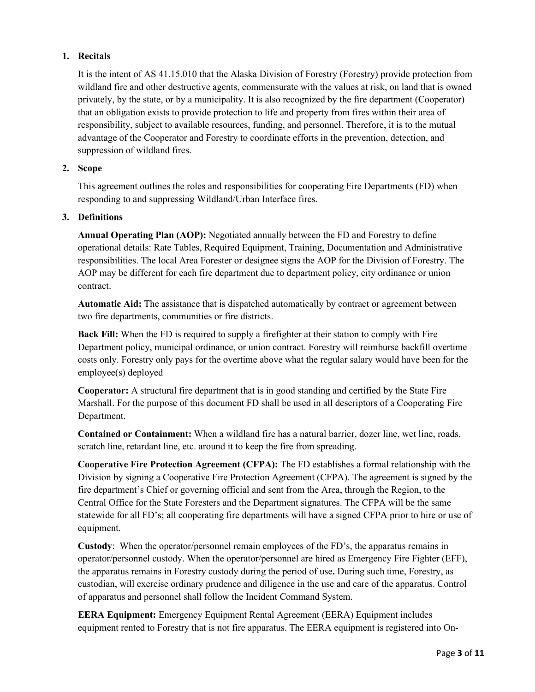# **1. Recitals**

It is the intent of AS 41.15.010 that the Alaska Division of Forestry (Forestry) provide protection from wildland fire and other destructive agents, commensurate with the values at risk, on land that is owned privately, by the state, or by a municipality. It is also recognized by the fire department (Cooperator) that an obligation exists to provide protection to life and property from fires within their area of responsibility, subject to available resources, funding, and personnel. Therefore, it is to the mutual advantage of the Cooperator and Forestry to coordinate efforts in the prevention, detection, and suppression of wildland fires.

# **2. Scope**

This agreement outlines the roles and responsibilities for cooperating Fire Departments (FD) when responding to and suppressing Wildland/Urban Interface fires.

# **3. Definitions**

**Annual Operating Plan (AOP):** Negotiated annually between the FD and Forestry to define operational details: Rate Tables, Required Equipment, Training, Documentation and Administrative responsibilities. The local Area Forester or designee signs the AOP for the Division of Forestry. The AOP may be different for each fire department due to department policy, city ordinance or union contract.

**Automatic Aid:** The assistance that is dispatched automatically by contract or agreement between two fire departments, communities or fire districts.

**Back Fill:** When the FD is required to supply a firefighter at their station to comply with Fire Department policy, municipal ordinance, or union contract. Forestry will reimburse backfill overtime costs only. Forestry only pays for the overtime above what the regular salary would have been for the employee(s) deployed

**Cooperator:** A structural fire department that is in good standing and certified by the State Fire Marshall. For the purpose of this document FD shall be used in all descriptors of a Cooperating Fire Department.

**Contained or Containment:** When a wildland fire has a natural barrier, dozer line, wet line, roads, scratch line, retardant line, etc. around it to keep the fire from spreading.

**Cooperative Fire Protection Agreement (CFPA):** The FD establishes a formal relationship with the Division by signing a Cooperative Fire Protection Agreement (CFPA). The agreement is signed by the fire department's Chief or governing official and sent from the Area, through the Region, to the Central Office for the State Foresters and the Department signatures. The CFPA will be the same statewide for all FD's; all cooperating fire departments will have a signed CFPA prior to hire or use of equipment.

**Custody**: When the operator/personnel remain employees of the FD's, the apparatus remains in operator/personnel custody. When the operator/personnel are hired as Emergency Fire Fighter (EFF), the apparatus remains in Forestry custody during the period of use**.** During such time, Forestry, as custodian, will exercise ordinary prudence and diligence in the use and care of the apparatus. Control of apparatus and personnel shall follow the Incident Command System.

**EERA Equipment:** Emergency Equipment Rental Agreement (EERA) Equipment includes equipment rented to Forestry that is not fire apparatus. The EERA equipment is registered into On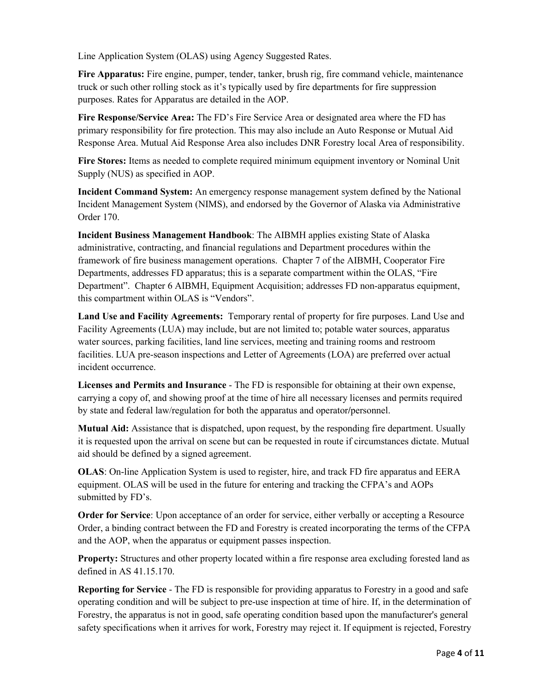Line Application System (OLAS) using Agency Suggested Rates.

**Fire Apparatus:** Fire engine, pumper, tender, tanker, brush rig, fire command vehicle, maintenance truck or such other rolling stock as it's typically used by fire departments for fire suppression purposes. Rates for Apparatus are detailed in the AOP.

**Fire Response/Service Area:** The FD's Fire Service Area or designated area where the FD has primary responsibility for fire protection. This may also include an Auto Response or Mutual Aid Response Area. Mutual Aid Response Area also includes DNR Forestry local Area of responsibility.

**Fire Stores:** Items as needed to complete required minimum equipment inventory or Nominal Unit Supply (NUS) as specified in AOP.

**Incident Command System:** An emergency response management system defined by the National Incident Management System (NIMS), and endorsed by the Governor of Alaska via Administrative Order 170.

**Incident Business Management Handbook**: The AIBMH applies existing State of Alaska administrative, contracting, and financial regulations and Department procedures within the framework of fire business management operations. Chapter 7 of the AIBMH, Cooperator Fire Departments, addresses FD apparatus; this is a separate compartment within the OLAS, "Fire Department". Chapter 6 AIBMH, Equipment Acquisition; addresses FD non-apparatus equipment, this compartment within OLAS is "Vendors".

**Land Use and Facility Agreements:** Temporary rental of property for fire purposes. Land Use and Facility Agreements (LUA) may include, but are not limited to; potable water sources, apparatus water sources, parking facilities, land line services, meeting and training rooms and restroom facilities. LUA pre-season inspections and Letter of Agreements (LOA) are preferred over actual incident occurrence.

**Licenses and Permits and Insurance** - The FD is responsible for obtaining at their own expense, carrying a copy of, and showing proof at the time of hire all necessary licenses and permits required by state and federal law/regulation for both the apparatus and operator**/**personnel.

**Mutual Aid:** Assistance that is dispatched, upon request, by the responding fire department. Usually it is requested upon the arrival on scene but can be requested in route if circumstances dictate. Mutual aid should be defined by a signed agreement.

**OLAS**: On-line Application System is used to register, hire, and track FD fire apparatus and EERA equipment. OLAS will be used in the future for entering and tracking the CFPA's and AOPs submitted by FD's.

**Order for Service**: Upon acceptance of an order for service, either verbally or accepting a Resource Order, a binding contract between the FD and Forestry is created incorporating the terms of the CFPA and the AOP, when the apparatus or equipment passes inspection.

**Property:** Structures and other property located within a fire response area excluding forested land as defined in AS 41.15.170.

**Reporting for Service** - The FD is responsible for providing apparatus to Forestry in a good and safe operating condition and will be subject to pre-use inspection at time of hire. If, in the determination of Forestry, the apparatus is not in good, safe operating condition based upon the manufacturer's general safety specifications when it arrives for work, Forestry may reject it. If equipment is rejected, Forestry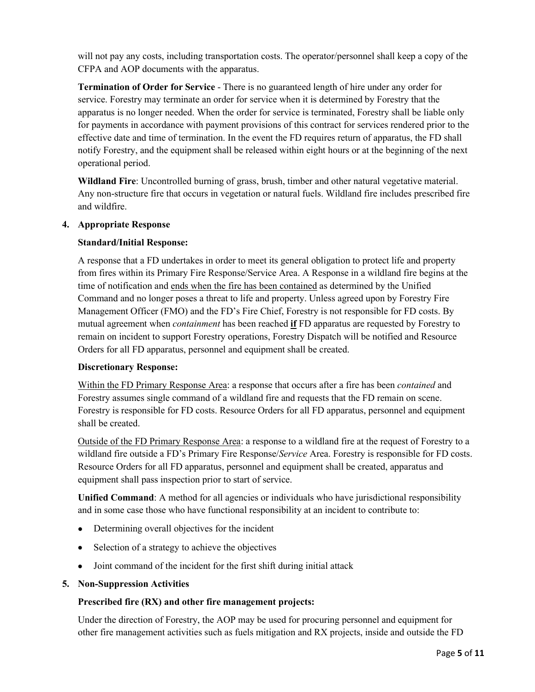will not pay any costs, including transportation costs. The operator/personnel shall keep a copy of the CFPA and AOP documents with the apparatus.

**Termination of Order for Service** - There is no guaranteed length of hire under any order for service. Forestry may terminate an order for service when it is determined by Forestry that the apparatus is no longer needed. When the order for service is terminated, Forestry shall be liable only for payments in accordance with payment provisions of this contract for services rendered prior to the effective date and time of termination. In the event the FD requires return of apparatus, the FD shall notify Forestry, and the equipment shall be released within eight hours or at the beginning of the next operational period.

**Wildland Fire**: Uncontrolled burning of grass, brush, timber and other natural vegetative material. Any non-structure fire that occurs in vegetation or natural fuels. Wildland fire includes prescribed fire and wildfire.

# **4. Appropriate Response**

# **Standard/Initial Response:**

A response that a FD undertakes in order to meet its general obligation to protect life and property from fires within its Primary Fire Response/Service Area. A Response in a wildland fire begins at the time of notification and ends when the fire has been contained as determined by the Unified Command and no longer poses a threat to life and property. Unless agreed upon by Forestry Fire Management Officer (FMO) and the FD's Fire Chief, Forestry is not responsible for FD costs. By mutual agreement when *containment* has been reached **if** FD apparatus are requested by Forestry to remain on incident to support Forestry operations, Forestry Dispatch will be notified and Resource Orders for all FD apparatus, personnel and equipment shall be created.

#### **Discretionary Response:**

Within the FD Primary Response Area: a response that occurs after a fire has been *contained* and Forestry assumes single command of a wildland fire and requests that the FD remain on scene. Forestry is responsible for FD costs. Resource Orders for all FD apparatus, personnel and equipment shall be created.

Outside of the FD Primary Response Area: a response to a wildland fire at the request of Forestry to a wildland fire outside a FD's Primary Fire Response/*Service* Area. Forestry is responsible for FD costs. Resource Orders for all FD apparatus, personnel and equipment shall be created, apparatus and equipment shall pass inspection prior to start of service.

**Unified Command**: A method for all agencies or individuals who have jurisdictional responsibility and in some case those who have functional responsibility at an incident to contribute to:

- Determining overall objectives for the incident
- Selection of a strategy to achieve the objectives
- Joint command of the incident for the first shift during initial attack

#### **5. Non-Suppression Activities**

#### **Prescribed fire (RX) and other fire management projects:**

Under the direction of Forestry, the AOP may be used for procuring personnel and equipment for other fire management activities such as fuels mitigation and RX projects, inside and outside the FD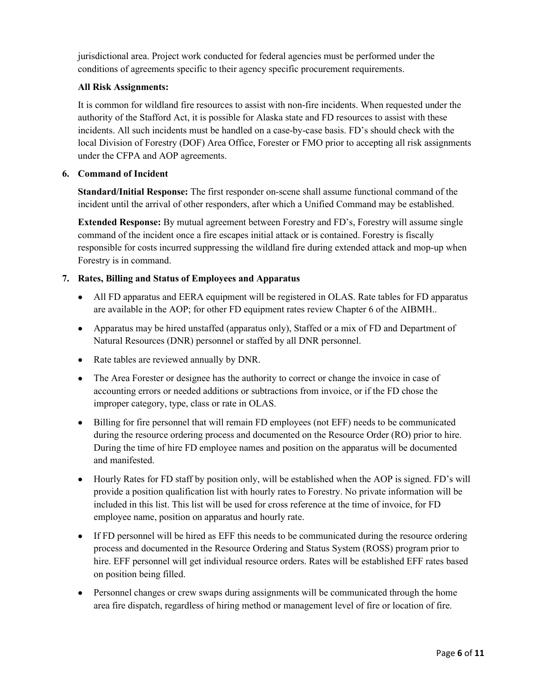jurisdictional area. Project work conducted for federal agencies must be performed under the conditions of agreements specific to their agency specific procurement requirements.

# **All Risk Assignments:**

It is common for wildland fire resources to assist with non-fire incidents. When requested under the authority of the Stafford Act, it is possible for Alaska state and FD resources to assist with these incidents. All such incidents must be handled on a case-by-case basis. FD's should check with the local Division of Forestry (DOF) Area Office, Forester or FMO prior to accepting all risk assignments under the CFPA and AOP agreements.

# **6. Command of Incident**

**Standard/Initial Response:** The first responder on‐scene shall assume functional command of the incident until the arrival of other responders, after which a Unified Command may be established.

**Extended Response:** By mutual agreement between Forestry and FD's, Forestry will assume single command of the incident once a fire escapes initial attack or is contained. Forestry is fiscally responsible for costs incurred suppressing the wildland fire during extended attack and mop‐up when Forestry is in command.

# **7. Rates, Billing and Status of Employees and Apparatus**

- All FD apparatus and EERA equipment will be registered in OLAS. Rate tables for FD apparatus are available in the AOP; for other FD equipment rates review Chapter 6 of the AIBMH..
- Apparatus may be hired unstaffed (apparatus only), Staffed or a mix of FD and Department of Natural Resources (DNR) personnel or staffed by all DNR personnel.
- Rate tables are reviewed annually by DNR.
- The Area Forester or designee has the authority to correct or change the invoice in case of accounting errors or needed additions or subtractions from invoice, or if the FD chose the improper category, type, class or rate in OLAS.
- Billing for fire personnel that will remain FD employees (not EFF) needs to be communicated during the resource ordering process and documented on the Resource Order (RO) prior to hire. During the time of hire FD employee names and position on the apparatus will be documented and manifested.
- Hourly Rates for FD staff by position only, will be established when the AOP is signed. FD's will provide a position qualification list with hourly rates to Forestry. No private information will be included in this list. This list will be used for cross reference at the time of invoice, for FD employee name, position on apparatus and hourly rate.
- If FD personnel will be hired as EFF this needs to be communicated during the resource ordering process and documented in the Resource Ordering and Status System (ROSS) program prior to hire. EFF personnel will get individual resource orders. Rates will be established EFF rates based on position being filled.
- Personnel changes or crew swaps during assignments will be communicated through the home area fire dispatch, regardless of hiring method or management level of fire or location of fire.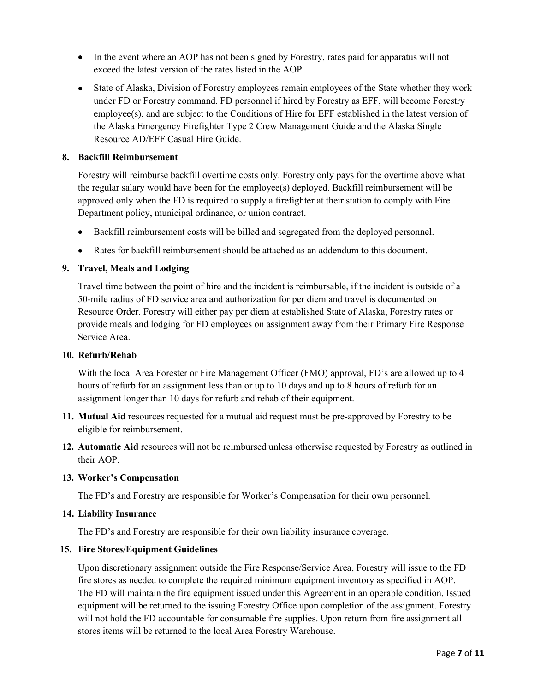- In the event where an AOP has not been signed by Forestry, rates paid for apparatus will not exceed the latest version of the rates listed in the AOP.
- State of Alaska, Division of Forestry employees remain employees of the State whether they work under FD or Forestry command. FD personnel if hired by Forestry as EFF, will become Forestry employee(s), and are subject to the Conditions of Hire for EFF established in the latest version of the Alaska Emergency Firefighter Type 2 Crew Management Guide and the Alaska Single Resource AD/EFF Casual Hire Guide.

# **8. Backfill Reimbursement**

Forestry will reimburse backfill overtime costs only. Forestry only pays for the overtime above what the regular salary would have been for the employee(s) deployed. Backfill reimbursement will be approved only when the FD is required to supply a firefighter at their station to comply with Fire Department policy, municipal ordinance, or union contract.

- Backfill reimbursement costs will be billed and segregated from the deployed personnel.
- Rates for backfill reimbursement should be attached as an addendum to this document.

# **9. Travel, Meals and Lodging**

Travel time between the point of hire and the incident is reimbursable, if the incident is outside of a 50-mile radius of FD service area and authorization for per diem and travel is documented on Resource Order. Forestry will either pay per diem at established State of Alaska, Forestry rates or provide meals and lodging for FD employees on assignment away from their Primary Fire Response Service Area.

#### **10. Refurb/Rehab**

With the local Area Forester or Fire Management Officer (FMO) approval, FD's are allowed up to 4 hours of refurb for an assignment less than or up to 10 days and up to 8 hours of refurb for an assignment longer than 10 days for refurb and rehab of their equipment.

- **11. Mutual Aid** resources requested for a mutual aid request must be pre‐approved by Forestry to be eligible for reimbursement.
- **12. Automatic Aid** resources will not be reimbursed unless otherwise requested by Forestry as outlined in their AOP.

#### **13. Worker's Compensation**

The FD's and Forestry are responsible for Worker's Compensation for their own personnel.

#### **14. Liability Insurance**

The FD's and Forestry are responsible for their own liability insurance coverage.

#### **15. Fire Stores/Equipment Guidelines**

Upon discretionary assignment outside the Fire Response/Service Area, Forestry will issue to the FD fire stores as needed to complete the required minimum equipment inventory as specified in AOP. The FD will maintain the fire equipment issued under this Agreement in an operable condition. Issued equipment will be returned to the issuing Forestry Office upon completion of the assignment. Forestry will not hold the FD accountable for consumable fire supplies. Upon return from fire assignment all stores items will be returned to the local Area Forestry Warehouse.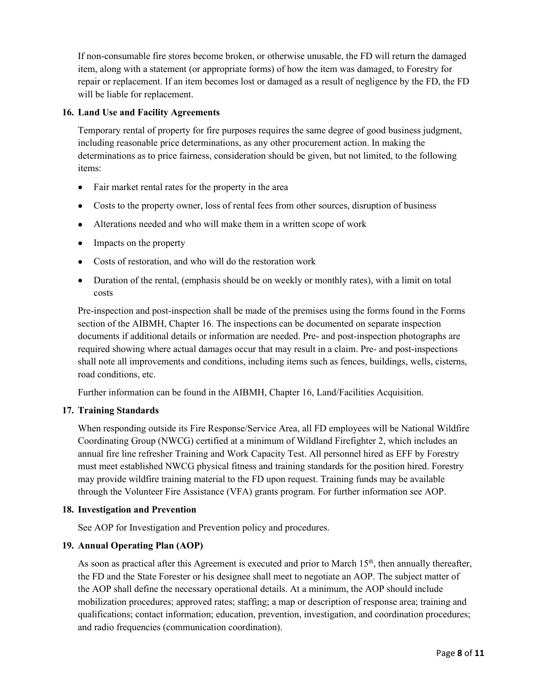If non‐consumable fire stores become broken, or otherwise unusable, the FD will return the damaged item, along with a statement (or appropriate forms) of how the item was damaged, to Forestry for repair or replacement. If an item becomes lost or damaged as a result of negligence by the FD, the FD will be liable for replacement.

# **16. Land Use and Facility Agreements**

Temporary rental of property for fire purposes requires the same degree of good business judgment, including reasonable price determinations, as any other procurement action. In making the determinations as to price fairness, consideration should be given, but not limited, to the following items:

- Fair market rental rates for the property in the area
- Costs to the property owner, loss of rental fees from other sources, disruption of business
- Alterations needed and who will make them in a written scope of work
- Impacts on the property
- Costs of restoration, and who will do the restoration work
- Duration of the rental, (emphasis should be on weekly or monthly rates), with a limit on total costs

Pre-inspection and post-inspection shall be made of the premises using the forms found in the Forms section of the AIBMH, Chapter 16. The inspections can be documented on separate inspection documents if additional details or information are needed. Pre- and post-inspection photographs are required showing where actual damages occur that may result in a claim. Pre- and post-inspections shall note all improvements and conditions, including items such as fences, buildings, wells, cisterns, road conditions, etc.

Further information can be found in the AIBMH, Chapter 16, Land/Facilities Acquisition.

#### **17. Training Standards**

When responding outside its Fire Response/Service Area, all FD employees will be National Wildfire Coordinating Group (NWCG) certified at a minimum of Wildland Firefighter 2, which includes an annual fire line refresher Training and Work Capacity Test. All personnel hired as EFF by Forestry must meet established NWCG physical fitness and training standards for the position hired. Forestry may provide wildfire training material to the FD upon request. Training funds may be available through the Volunteer Fire Assistance (VFA) grants program. For further information see AOP.

#### **18. Investigation and Prevention**

See AOP for Investigation and Prevention policy and procedures.

# **19. Annual Operating Plan (AOP)**

As soon as practical after this Agreement is executed and prior to March  $15<sup>th</sup>$ , then annually thereafter, the FD and the State Forester or his designee shall meet to negotiate an AOP. The subject matter of the AOP shall define the necessary operational details. At a minimum, the AOP should include mobilization procedures; approved rates; staffing; a map or description of response area; training and qualifications; contact information; education, prevention, investigation, and coordination procedures; and radio frequencies (communication coordination).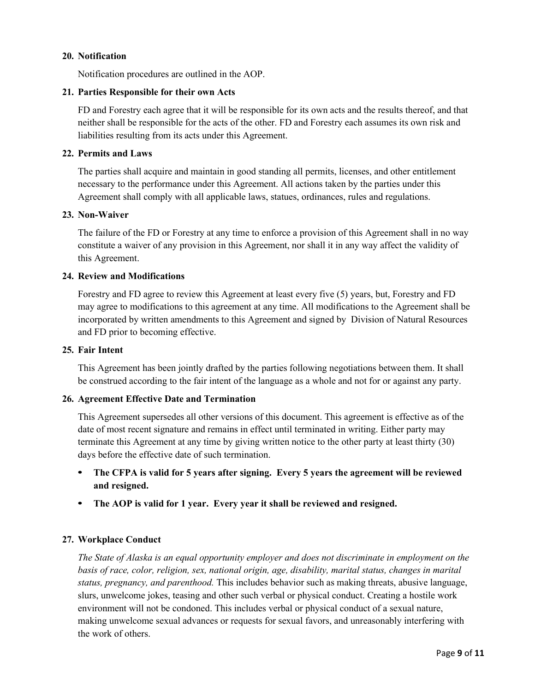#### **20. Notification**

Notification procedures are outlined in the AOP.

#### **21. Parties Responsible for their own Acts**

FD and Forestry each agree that it will be responsible for its own acts and the results thereof, and that neither shall be responsible for the acts of the other. FD and Forestry each assumes its own risk and liabilities resulting from its acts under this Agreement.

#### **22. Permits and Laws**

The parties shall acquire and maintain in good standing all permits, licenses, and other entitlement necessary to the performance under this Agreement. All actions taken by the parties under this Agreement shall comply with all applicable laws, statues, ordinances, rules and regulations.

#### **23. Non‐Waiver**

The failure of the FD or Forestry at any time to enforce a provision of this Agreement shall in no way constitute a waiver of any provision in this Agreement, nor shall it in any way affect the validity of this Agreement.

#### **24. Review and Modifications**

Forestry and FD agree to review this Agreement at least every five (5) years, but, Forestry and FD may agree to modifications to this agreement at any time. All modifications to the Agreement shall be incorporated by written amendments to this Agreement and signed by Division of Natural Resources and FD prior to becoming effective.

#### **25. Fair Intent**

This Agreement has been jointly drafted by the parties following negotiations between them. It shall be construed according to the fair intent of the language as a whole and not for or against any party.

#### **26. Agreement Effective Date and Termination**

This Agreement supersedes all other versions of this document. This agreement is effective as of the date of most recent signature and remains in effect until terminated in writing. Either party may terminate this Agreement at any time by giving written notice to the other party at least thirty (30) days before the effective date of such termination.

- **• The CFPA is valid for 5 years after signing. Every 5 years the agreement will be reviewed and resigned.**
- **• The AOP is valid for 1 year. Every year it shall be reviewed and resigned.**

#### **27. Workplace Conduct**

*The State of Alaska is an equal opportunity employer and does not discriminate in employment on the basis of race, color, religion, sex, national origin, age, disability, marital status, changes in marital status, pregnancy, and parenthood.* This includes behavior such as making threats, abusive language, slurs, unwelcome jokes, teasing and other such verbal or physical conduct. Creating a hostile work environment will not be condoned. This includes verbal or physical conduct of a sexual nature, making unwelcome sexual advances or requests for sexual favors, and unreasonably interfering with the work of others.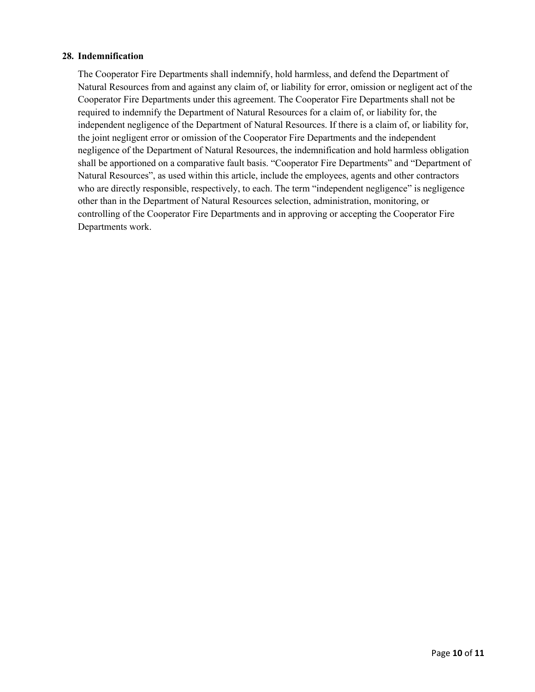#### **28. Indemnification**

The Cooperator Fire Departments shall indemnify, hold harmless, and defend the Department of Natural Resources from and against any claim of, or liability for error, omission or negligent act of the Cooperator Fire Departments under this agreement. The Cooperator Fire Departments shall not be required to indemnify the Department of Natural Resources for a claim of, or liability for, the independent negligence of the Department of Natural Resources. If there is a claim of, or liability for, the joint negligent error or omission of the Cooperator Fire Departments and the independent negligence of the Department of Natural Resources, the indemnification and hold harmless obligation shall be apportioned on a comparative fault basis. "Cooperator Fire Departments" and "Department of Natural Resources", as used within this article, include the employees, agents and other contractors who are directly responsible, respectively, to each. The term "independent negligence" is negligence other than in the Department of Natural Resources selection, administration, monitoring, or controlling of the Cooperator Fire Departments and in approving or accepting the Cooperator Fire Departments work.